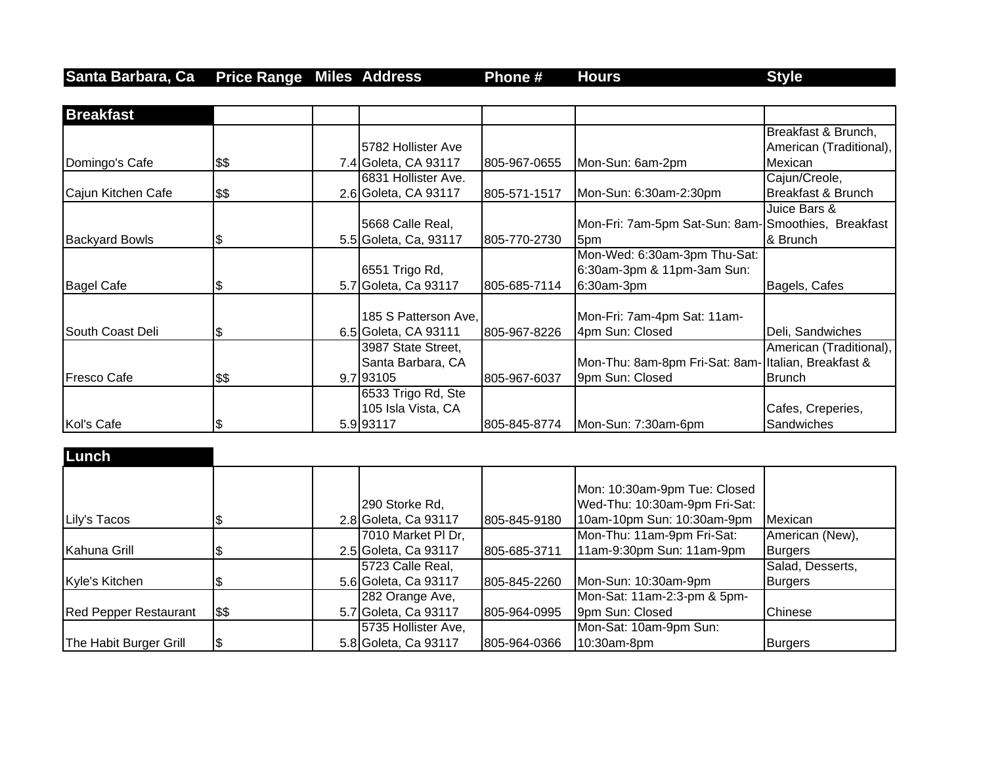## **Santa Barbara, Ca Price Range Miles Address Phone # Hours Style**

| <b>Breakfast</b>      |      |                       |              |                                                     |                                 |
|-----------------------|------|-----------------------|--------------|-----------------------------------------------------|---------------------------------|
|                       |      |                       |              |                                                     | Breakfast & Brunch,             |
|                       |      | 5782 Hollister Ave    |              |                                                     | American (Traditional),         |
| Domingo's Cafe        | \$\$ | 7.4 Goleta, CA 93117  | 805-967-0655 | Mon-Sun: 6am-2pm                                    | Mexican                         |
|                       |      | 6831 Hollister Ave.   |              |                                                     | Cajun/Creole,                   |
| Cajun Kitchen Cafe    | \$\$ | 2.6 Goleta, CA 93117  | 805-571-1517 | Mon-Sun: 6:30am-2:30pm                              | Breakfast & Brunch              |
|                       |      |                       |              |                                                     | Juice Bars &                    |
|                       |      | 5668 Calle Real,      |              | Mon-Fri: 7am-5pm Sat-Sun: 8am- Smoothies, Breakfast |                                 |
| <b>Backyard Bowls</b> | l\$  | 5.5 Goleta, Ca, 93117 | 805-770-2730 | 5pm                                                 | & Brunch                        |
|                       |      |                       |              | Mon-Wed: 6:30am-3pm Thu-Sat:                        |                                 |
|                       |      | 6551 Trigo Rd,        |              | 6:30am-3pm & 11pm-3am Sun:                          |                                 |
| Bagel Cafe            | S    | 5.7 Goleta, Ca 93117  | 805-685-7114 | 6:30am-3pm                                          | Bagels, Cafes                   |
|                       |      | 185 S Patterson Ave,  |              |                                                     |                                 |
| South Coast Deli      |      | 6.5 Goleta, CA 93111  |              | Mon-Fri: 7am-4pm Sat: 11am-<br>4pm Sun: Closed      | Deli, Sandwiches                |
|                       | S    | 3987 State Street,    | 805-967-8226 |                                                     | American (Traditional),         |
|                       |      | Santa Barbara, CA     |              | Mon-Thu: 8am-8pm Fri-Sat: 8am- Italian, Breakfast & |                                 |
| <b>Fresco Cafe</b>    |      | 9.7 93105             | 805-967-6037 | 9pm Sun: Closed                                     | <b>Brunch</b>                   |
|                       | \$\$ |                       |              |                                                     |                                 |
|                       |      | 6533 Trigo Rd, Ste    |              |                                                     |                                 |
| Kol's Cafe            |      | 105 Isla Vista, CA    |              | Mon-Sun: 7:30am-6pm                                 | Cafes, Creperies,<br>Sandwiches |
|                       | 8    | 5.9 93117             | 805-845-8774 |                                                     |                                 |

| Lunch                        |     |                                        |              |                                                                                             |                  |
|------------------------------|-----|----------------------------------------|--------------|---------------------------------------------------------------------------------------------|------------------|
| Lily's Tacos                 |     | 290 Storke Rd,<br>2.8 Goleta, Ca 93117 | 805-845-9180 | Mon: 10:30am-9pm Tue: Closed<br>Wed-Thu: 10:30am-9pm Fri-Sat:<br>10am-10pm Sun: 10:30am-9pm | Mexican          |
|                              |     | 7010 Market PI Dr,                     |              | Mon-Thu: 11am-9pm Fri-Sat:                                                                  | American (New),  |
| Kahuna Grill                 |     | 2.5 Goleta, Ca 93117                   | 805-685-3711 | 11am-9:30pm Sun: 11am-9pm                                                                   | <b>Burgers</b>   |
|                              |     | 5723 Calle Real,                       |              |                                                                                             | Salad, Desserts, |
| Kyle's Kitchen               |     | 5.6 Goleta, Ca 93117                   | 805-845-2260 | Mon-Sun: 10:30am-9pm                                                                        | <b>Burgers</b>   |
|                              |     | 282 Orange Ave,                        |              | Mon-Sat: 11am-2:3-pm & 5pm-                                                                 |                  |
| <b>Red Pepper Restaurant</b> | 5\$ | 5.7 Goleta, Ca 93117                   | 805-964-0995 | 9pm Sun: Closed                                                                             | Chinese          |
|                              |     | 5735 Hollister Ave,                    |              | Mon-Sat: 10am-9pm Sun:                                                                      |                  |
| The Habit Burger Grill       | 1\$ | 5.8 Goleta, Ca 93117                   | 805-964-0366 | 10:30am-8pm                                                                                 | <b>Burgers</b>   |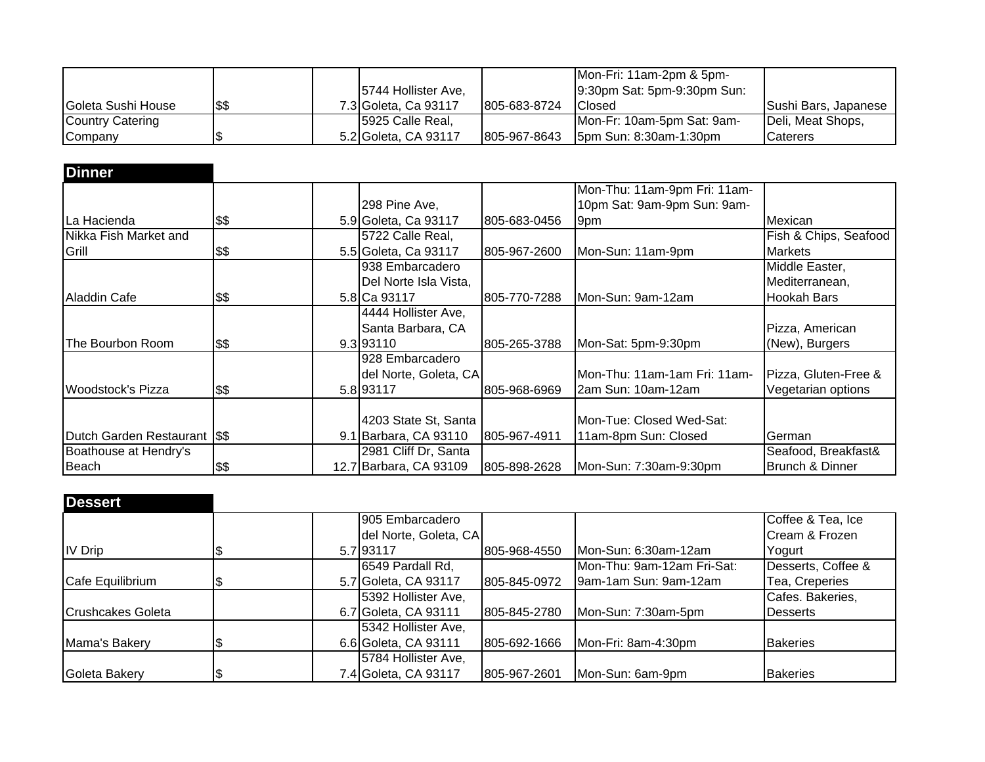|                         |      |                      |              | Mon-Fri: 11am-2pm & 5pm-      |                      |
|-------------------------|------|----------------------|--------------|-------------------------------|----------------------|
|                         |      | 5744 Hollister Ave,  |              | 9:30pm Sat: 5pm-9:30pm Sun:   |                      |
| Goleta Sushi House      | \$\$ | 7.3 Goleta, Ca 93117 | 805-683-8724 | Closed                        | Sushi Bars, Japanese |
| <b>Country Catering</b> |      | 5925 Calle Real,     |              | Mon-Fr: 10am-5pm Sat: 9am-    | Deli, Meat Shops,    |
| Company                 |      | 5.2 Goleta, CA 93117 | 805-967-8643 | <b>5pm Sun: 8:30am-1:30pm</b> | <b>Caterers</b>      |

| <b>Dinner</b>                 |      |                        |              |                               |                       |
|-------------------------------|------|------------------------|--------------|-------------------------------|-----------------------|
|                               |      |                        |              | Mon-Thu: 11am-9pm Fri: 11am-  |                       |
|                               |      | 298 Pine Ave,          |              | 10pm Sat: 9am-9pm Sun: 9am-   |                       |
| La Hacienda                   | \$\$ | 5.9 Goleta, Ca 93117   | 805-683-0456 | 9pm                           | Mexican               |
| Nikka Fish Market and         |      | 5722 Calle Real,       |              |                               | Fish & Chips, Seafood |
| Grill                         | \$\$ | 5.5 Goleta, Ca 93117   | 805-967-2600 | Mon-Sun: 11am-9pm             | <b>Markets</b>        |
|                               |      | 938 Embarcadero        |              |                               | Middle Easter,        |
|                               |      | Del Norte Isla Vista,  |              |                               | Mediterranean,        |
| Aladdin Cafe                  | \$\$ | 5.8 Ca 93117           | 805-770-7288 | Mon-Sun: 9am-12am             | Hookah Bars           |
|                               |      | 4444 Hollister Ave,    |              |                               |                       |
|                               |      | Santa Barbara, CA      |              |                               | Pizza, American       |
| The Bourbon Room              | \$\$ | 9.3 93110              | 805-265-3788 | Mon-Sat: 5pm-9:30pm           | (New), Burgers        |
|                               |      | 928 Embarcadero        |              |                               |                       |
|                               |      | del Norte, Goleta, CA  |              | lMon-Thu: 11am-1am Fri: 11am- | Pizza, Gluten-Free &  |
| <b>Woodstock's Pizza</b>      | \$\$ | 5.8 93117              | 805-968-6969 | 2am Sun: 10am-12am            | Vegetarian options    |
|                               |      |                        |              |                               |                       |
|                               |      | 4203 State St, Santa   |              | Mon-Tue: Closed Wed-Sat:      |                       |
| Dutch Garden Restaurant I\$\$ |      | 9.1 Barbara, CA 93110  | 805-967-4911 | 11am-8pm Sun: Closed          | German                |
| Boathouse at Hendry's         |      | 2981 Cliff Dr, Santa   |              |                               | Seafood, Breakfast&   |
| <b>Beach</b>                  | \$\$ | 12.7 Barbara, CA 93109 | 805-898-2628 | Mon-Sun: 7:30am-9:30pm        | Brunch & Dinner       |

| <b>Dessert</b>    |  |                       |              |                            |                    |
|-------------------|--|-----------------------|--------------|----------------------------|--------------------|
|                   |  | 905 Embarcadero       |              |                            | Coffee & Tea, Ice  |
|                   |  | del Norte, Goleta, CA |              |                            | Cream & Frozen     |
| <b>IV Drip</b>    |  | 5.7 93117             | 805-968-4550 | Mon-Sun: 6:30am-12am       | Yogurt             |
|                   |  | 6549 Pardall Rd.      |              | Mon-Thu: 9am-12am Fri-Sat: | Desserts, Coffee & |
| Cafe Equilibrium  |  | 5.7 Goleta, CA 93117  | 805-845-0972 | 9am-1am Sun: 9am-12am      | Tea, Creperies     |
|                   |  | 5392 Hollister Ave,   |              |                            | Cafes. Bakeries,   |
| Crushcakes Goleta |  | 6.7 Goleta, CA 93111  | 805-845-2780 | Mon-Sun: 7:30am-5pm        | Desserts           |
|                   |  | 5342 Hollister Ave,   |              |                            |                    |
| Mama's Bakery     |  | 6.6 Goleta, CA 93111  | 805-692-1666 | Mon-Fri: 8am-4:30pm        | <b>Bakeries</b>    |
|                   |  | 5784 Hollister Ave,   |              |                            |                    |
| Goleta Bakery     |  | 7.4 Goleta, CA 93117  | 805-967-2601 | Mon-Sun: 6am-9pm           | <b>Bakeries</b>    |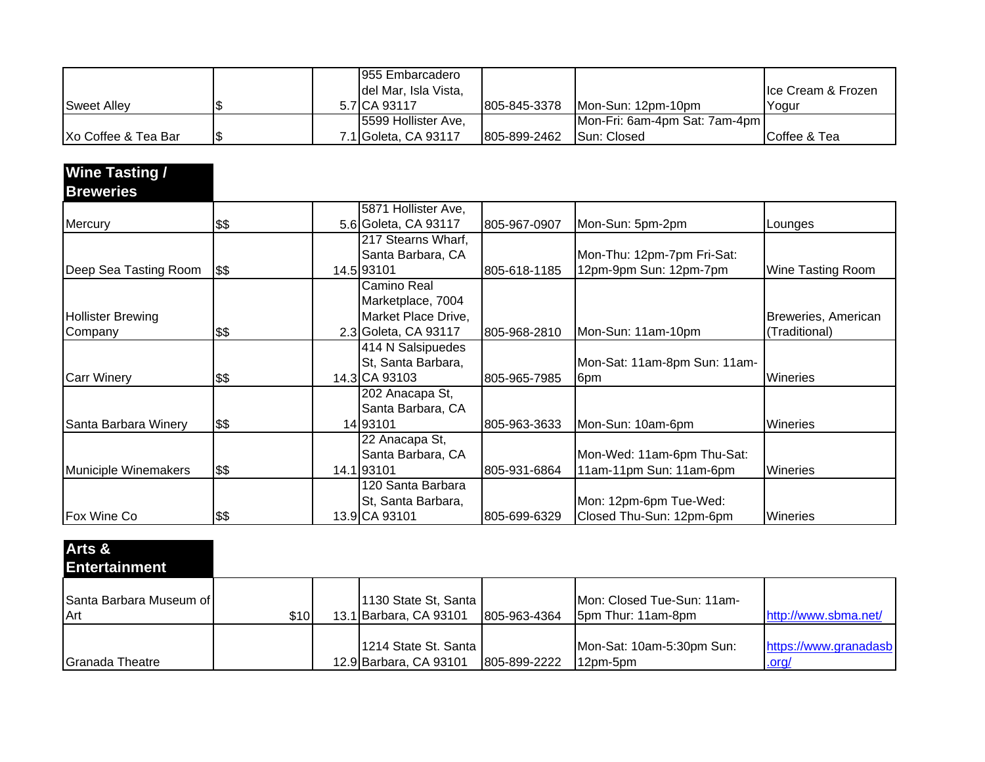|                      |  | 1955 Embarcadero     |               |                               |                     |
|----------------------|--|----------------------|---------------|-------------------------------|---------------------|
|                      |  | del Mar, Isla Vista, |               |                               | Ilce Cream & Frozen |
| Sweet Alley          |  | 5.7 ICA 93117        | 1805-845-3378 | IMon-Sun: 12pm-10pm           | lYogur              |
|                      |  | 5599 Hollister Ave,  |               | Mon-Fri: 6am-4pm Sat: 7am-4pm |                     |
| IXo Coffee & Tea Bar |  | 7.1 Goleta, CA 93117 | 805-899-2462  | <b>ISun: Closed</b>           | Coffee & Tea        |

| <b>Wine Tasting /</b>    |      |                      |              |                              |                          |
|--------------------------|------|----------------------|--------------|------------------------------|--------------------------|
| <b>Breweries</b>         |      |                      |              |                              |                          |
|                          |      | 5871 Hollister Ave,  |              |                              |                          |
| Mercury                  | \$\$ | 5.6 Goleta, CA 93117 | 805-967-0907 | Mon-Sun: 5pm-2pm             | Lounges                  |
|                          |      | 217 Stearns Wharf,   |              |                              |                          |
|                          |      | Santa Barbara, CA    |              | Mon-Thu: 12pm-7pm Fri-Sat:   |                          |
| Deep Sea Tasting Room    | \$\$ | 14.5 93101           | 805-618-1185 | 12pm-9pm Sun: 12pm-7pm       | <b>Wine Tasting Room</b> |
|                          |      | Camino Real          |              |                              |                          |
|                          |      | Marketplace, 7004    |              |                              |                          |
| <b>Hollister Brewing</b> |      | Market Place Drive,  |              |                              | Breweries, American      |
| Company                  | \$\$ | 2.3 Goleta, CA 93117 | 805-968-2810 | Mon-Sun: 11am-10pm           | (Traditional)            |
|                          |      | 414 N Salsipuedes    |              |                              |                          |
|                          |      | St, Santa Barbara,   |              | Mon-Sat: 11am-8pm Sun: 11am- |                          |
| <b>Carr Winery</b>       | \$\$ | 14.3 CA 93103        | 805-965-7985 | 6pm                          | <b>Wineries</b>          |
|                          |      | 202 Anacapa St,      |              |                              |                          |
|                          |      | Santa Barbara, CA    |              |                              |                          |
| Santa Barbara Winery     | \$\$ | 14 93101             | 805-963-3633 | Mon-Sun: 10am-6pm            | <b>Wineries</b>          |
|                          |      | 22 Anacapa St,       |              |                              |                          |
|                          |      | Santa Barbara, CA    |              | Mon-Wed: 11am-6pm Thu-Sat:   |                          |
| Municiple Winemakers     | \$\$ | 14.1 93101           | 805-931-6864 | 11am-11pm Sun: 11am-6pm      | <b>Wineries</b>          |
|                          |      | 120 Santa Barbara    |              |                              |                          |
|                          |      | St, Santa Barbara,   |              | Mon: 12pm-6pm Tue-Wed:       |                          |
| Fox Wine Co              | \$\$ | 13.9 CA 93101        | 805-699-6329 | Closed Thu-Sun: 12pm-6pm     | Wineries                 |

| Arts &<br><b>Entertainment</b> |      |                                                  |              |                                                  |                                |
|--------------------------------|------|--------------------------------------------------|--------------|--------------------------------------------------|--------------------------------|
| Santa Barbara Museum of<br>Art | \$10 | 1130 State St, Santa<br>13.1 Barbara, CA 93101   | 805-963-4364 | Mon: Closed Tue-Sun: 11am-<br>5pm Thur: 11am-8pm | http://www.sbma.net/           |
| Granada Theatre                |      | 1214 State St. Santa  <br>12.9 Barbara, CA 93101 | 805-899-2222 | Mon-Sat: 10am-5:30pm Sun:<br>12pm-5pm            | https://www.granadasb<br>.org/ |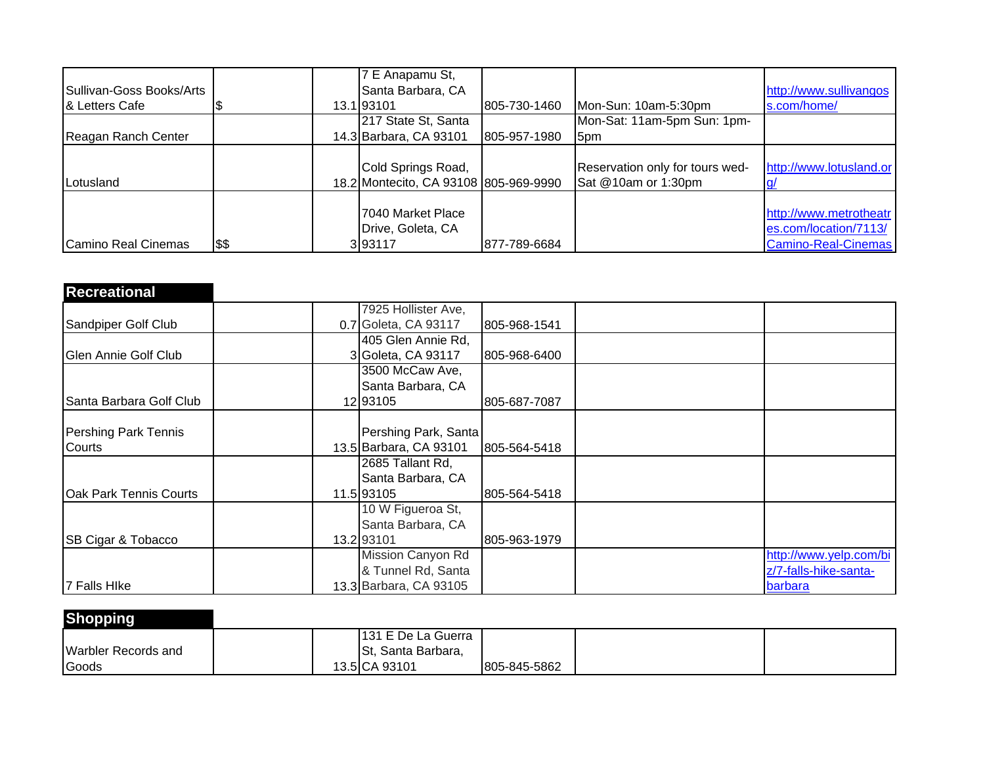|                          |      | 7 E Anapamu St,                       |              |                                 |                            |
|--------------------------|------|---------------------------------------|--------------|---------------------------------|----------------------------|
| Sullivan-Goss Books/Arts |      | Santa Barbara, CA                     |              |                                 | http://www.sullivangos     |
| 1& Letters Cafe          |      | 13.1193101                            | 805-730-1460 | Mon-Sun: 10am-5:30pm            | s.com/home/                |
|                          |      | 217 State St, Santa                   |              | Mon-Sat: 11am-5pm Sun: 1pm-     |                            |
| Reagan Ranch Center      |      | 14.3 Barbara, CA 93101                | 805-957-1980 | 5pm                             |                            |
|                          |      |                                       |              |                                 |                            |
|                          |      | Cold Springs Road,                    |              | Reservation only for tours wed- | http://www.lotusland.or    |
| Lotusland                |      | 18.2 Montecito, CA 93108 805-969-9990 |              | Sat @10am or 1:30pm             |                            |
|                          |      |                                       |              |                                 |                            |
|                          |      | 7040 Market Place                     |              |                                 | http://www.metrotheatr     |
|                          |      | Drive, Goleta, CA                     |              |                                 | es.com/location/7113/      |
| Camino Real Cinemas      | \$\$ | 3 9 3 1 1 7                           | 877-789-6684 |                                 | <b>Camino-Real-Cinemas</b> |

| <b>Recreational</b>           |                        |              |                        |
|-------------------------------|------------------------|--------------|------------------------|
|                               | 7925 Hollister Ave,    |              |                        |
| Sandpiper Golf Club           | 0.7 Goleta, CA 93117   | 805-968-1541 |                        |
|                               | 405 Glen Annie Rd,     |              |                        |
| Glen Annie Golf Club          | 3 Goleta, CA 93117     | 805-968-6400 |                        |
|                               | 3500 McCaw Ave,        |              |                        |
|                               | Santa Barbara, CA      |              |                        |
| Santa Barbara Golf Club       | 12 93 105              | 805-687-7087 |                        |
| Pershing Park Tennis          | Pershing Park, Santa   |              |                        |
| Courts                        | 13.5 Barbara, CA 93101 | 805-564-5418 |                        |
|                               | 2685 Tallant Rd,       |              |                        |
|                               | Santa Barbara, CA      |              |                        |
| <b>Oak Park Tennis Courts</b> | 11.5 93105             | 805-564-5418 |                        |
|                               | 10 W Figueroa St,      |              |                        |
|                               | Santa Barbara, CA      |              |                        |
| <b>SB Cigar &amp; Tobacco</b> | 13.2 93101             | 805-963-1979 |                        |
|                               | Mission Canyon Rd      |              | http://www.yelp.com/bi |
|                               | & Tunnel Rd, Santa     |              | z/7-falls-hike-santa-  |
| 7 Falls Hike                  | 13.3 Barbara, CA 93105 |              | barbara                |

| <b>Shopping</b>            |                    |              |  |
|----------------------------|--------------------|--------------|--|
|                            | 131 E De La Guerra |              |  |
| <b>Warbler Records and</b> | St, Santa Barbara, |              |  |
| Goods                      | 13.5 CA 93101      | 805-845-5862 |  |